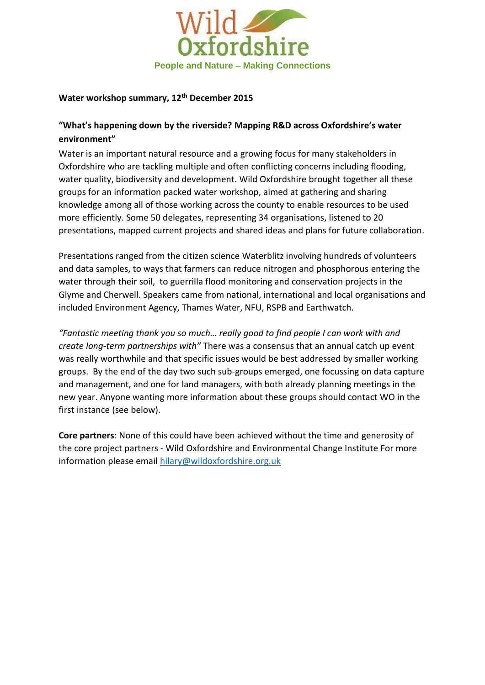

#### **Water workshop summary, 12th December 2015**

## **"What's happening down by the riverside? Mapping R&D across Oxfordshire's water environment"**

Water is an important natural resource and a growing focus for many stakeholders in Oxfordshire who are tackling multiple and often conflicting concerns including flooding, water quality, biodiversity and development. Wild Oxfordshire brought together all these groups for an information packed water workshop, aimed at gathering and sharing knowledge among all of those working across the county to enable resources to be used more efficiently. Some 50 delegates, representing 34 organisations, listened to 20 presentations, mapped current projects and shared ideas and plans for future collaboration.

Presentations ranged from the citizen science Waterblitz involving hundreds of volunteers and data samples, to ways that farmers can reduce nitrogen and phosphorous entering the water through their soil, to guerrilla flood monitoring and conservation projects in the Glyme and Cherwell. Speakers came from national, international and local organisations and included Environment Agency, Thames Water, NFU, RSPB and Earthwatch.

*"Fantastic meeting thank you so much… really good to find people I can work with and create long-term partnerships with"* There was a consensus that an annual catch up event was really worthwhile and that specific issues would be best addressed by smaller working groups. By the end of the day two such sub-groups emerged, one focussing on data capture and management, and one for land managers, with both already planning meetings in the new year. Anyone wanting more information about these groups should contact WO in the first instance (see below).

**Core partners**: None of this could have been achieved without the time and generosity of the core project partners - Wild Oxfordshire and Environmental Change Institute For more information please email [hilary@wildoxfordshire.org.uk](mailto:hilary@wildoxfordshire.org.uk)